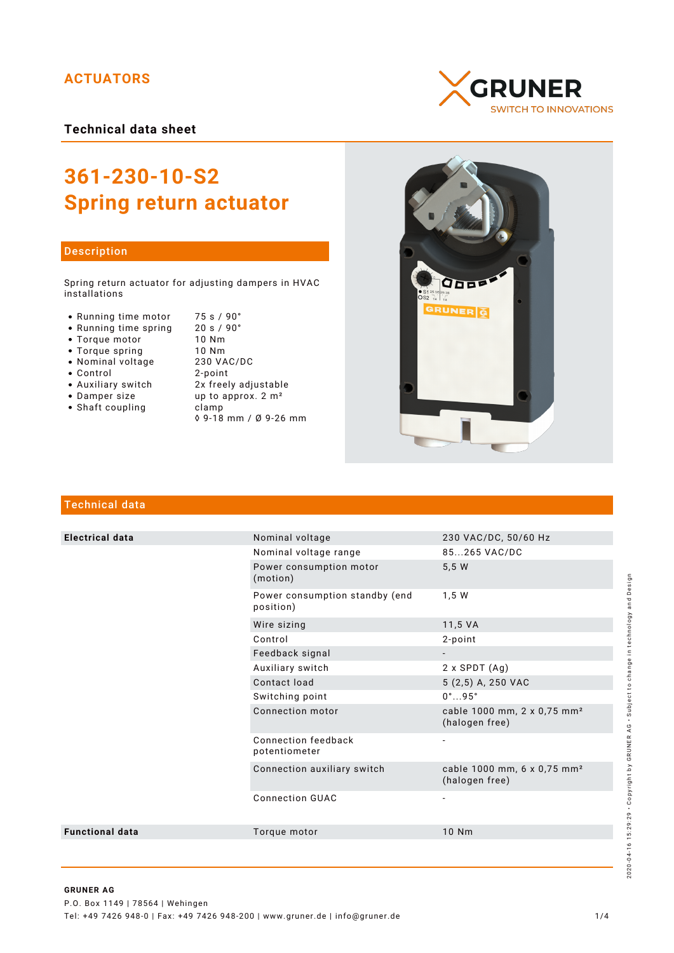## **ACTUATORS**

**Technical data sheet**

# **361-230-10-S2 Spring return actuator**

#### Description

Spring return actuator for adjusting dampers in HVAC installations

- Running time motor 75 s / 90°<br>• Running time spring 20 s / 90°
- Running time spring 20 s /<br>• Torque motor 10 Nm
- Torque motor 10 Nm
- 
- Nominal voltage
- 
- Control 2-point
- 
- Shaft coupling becamp
- Torque spring 10 Nm<br>• Nominal voltage 230 VAC/DC • Auxiliary switch 2x freely adjustable<br>• Damper size up to approx. 2 m<sup>2</sup> up to approx.  $2 m<sup>2</sup>$ 
	- ◊ 9-18 mm / Ø 9-26 mm





### Technical data

| <b>Electrical data</b> | Nominal voltage                             | 230 VAC/DC, 50/60 Hz                                      |
|------------------------|---------------------------------------------|-----------------------------------------------------------|
|                        | Nominal voltage range                       | 85265 VAC/DC                                              |
|                        | Power consumption motor<br>(motion)         | 5,5 W                                                     |
|                        | Power consumption standby (end<br>position) | 1,5 W                                                     |
|                        | Wire sizing                                 | 11,5 VA                                                   |
|                        | Control                                     | 2-point                                                   |
|                        | Feedback signal                             |                                                           |
|                        | Auxiliary switch                            | $2 \times$ SPDT $(Ag)$                                    |
|                        | Contact load                                | 5 (2,5) A, 250 VAC                                        |
|                        | Switching point                             | $0^{\circ}$ 95 $^{\circ}$                                 |
|                        | Connection motor                            | cable 1000 mm, 2 x 0,75 mm <sup>2</sup><br>(halogen free) |
|                        | Connection feedback<br>potentiometer        |                                                           |
|                        | Connection auxiliary switch                 | cable 1000 mm, 6 x 0,75 mm <sup>2</sup><br>(halogen free) |
|                        | <b>Connection GUAC</b>                      |                                                           |
| <b>Functional data</b> | Torque motor                                | 10 Nm                                                     |
|                        |                                             |                                                           |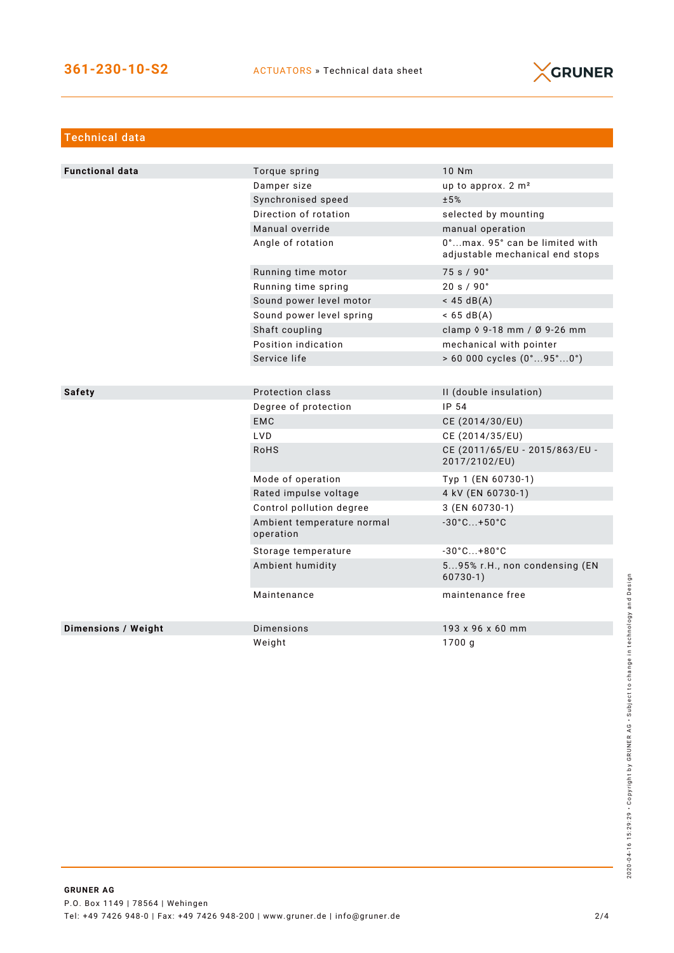

| Technical data             |                                         |                                                                   |
|----------------------------|-----------------------------------------|-------------------------------------------------------------------|
|                            |                                         |                                                                   |
| <b>Functional data</b>     | Torque spring                           | 10 Nm                                                             |
|                            | Damper size                             | up to approx. 2 m <sup>2</sup>                                    |
|                            | Synchronised speed                      | ±5%                                                               |
|                            | Direction of rotation                   | selected by mounting                                              |
|                            | Manual override                         | manual operation                                                  |
|                            | Angle of rotation                       | 0°max. 95° can be limited with<br>adjustable mechanical end stops |
|                            | Running time motor                      | 75 s / 90°                                                        |
|                            | Running time spring                     | 20 s / 90°                                                        |
|                            | Sound power level motor                 | $<$ 45 dB(A)                                                      |
|                            | Sound power level spring                | $< 65 \text{ dB(A)}$                                              |
|                            | Shaft coupling                          | clamp 0 9-18 mm / Ø 9-26 mm                                       |
|                            | Position indication                     | mechanical with pointer                                           |
|                            | Service life                            | > 60 000 cycles (0°95°0°)                                         |
|                            |                                         |                                                                   |
| <b>Safety</b>              | Protection class                        | II (double insulation)                                            |
|                            | Degree of protection                    | IP 54                                                             |
|                            | <b>EMC</b>                              | CE (2014/30/EU)                                                   |
|                            | <b>LVD</b>                              | CE (2014/35/EU)                                                   |
|                            | <b>RoHS</b>                             | CE (2011/65/EU - 2015/863/EU -<br>2017/2102/EU)                   |
|                            | Mode of operation                       | Typ 1 (EN 60730-1)                                                |
|                            | Rated impulse voltage                   | 4 kV (EN 60730-1)                                                 |
|                            | Control pollution degree                | 3 (EN 60730-1)                                                    |
|                            | Ambient temperature normal<br>operation | $-30^{\circ}$ C +50 $^{\circ}$ C                                  |
|                            | Storage temperature                     | $-30^{\circ}$ C +80 $^{\circ}$ C                                  |
|                            | Ambient humidity                        | 595% r.H., non condensing (EN<br>$60730-1)$                       |
|                            | Maintenance                             | maintenance free                                                  |
| <b>Dimensions / Weight</b> | Dimensions                              | 193 x 96 x 60 mm                                                  |
|                            | Weight                                  | 1700 g                                                            |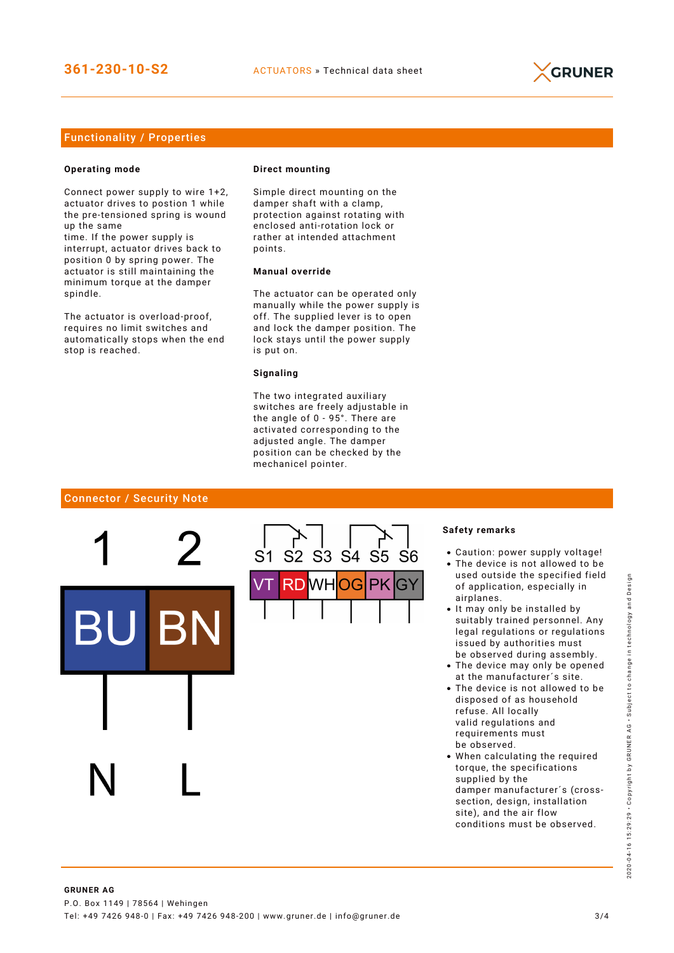

#### Functionality / Properties

#### **Operating mode**

Connect power supply to wire 1+2, actuator drives to postion 1 while the pre-tensioned spring is wound up the same

time. If the power supply is interrupt, actuator drives back to position 0 by spring power. The actuator is still maintaining the minimum torque at the damper spindle.

The actuator is overload-proof, requires no limit switches and automatically stops when the end stop is reached.

#### **Direct mounting**

Simple direct mounting on the damper shaft with a clamp, protection against rotating with enclosed anti-rotation lock or rather at intended attachment points.

#### **Manual override**

The actuator can be operated only manually while the power supply is off. The supplied lever is to open and lock the damper position. The lock stays until the power supply is put on.

#### **Signaling**

The two integrated auxiliary switches are freely adjustable in the angle of 0 - 95°. There are activated corresponding to the adjusted angle. The damper position can be checked by the mechanicel pointer.

#### Connector / Security Note



#### **Safety remarks**

- Caution: power supply voltage!
- The device is not allowed to be used outside the specified field of application, especially in airplanes.
- It may only be installed by suitably trained personnel. Any legal regulations or regulations issued by authorities must be observed during assembly.
- The device may only be opened at the manufacturer´s site.
- The device is not allowed to be disposed of as household refuse. All locally valid regulations and requirements must be observed.
- When calculating the required torque, the specifications supplied by the damper manufacturer´s (crosssection, design, installation site), and the air flow conditions must be observed.